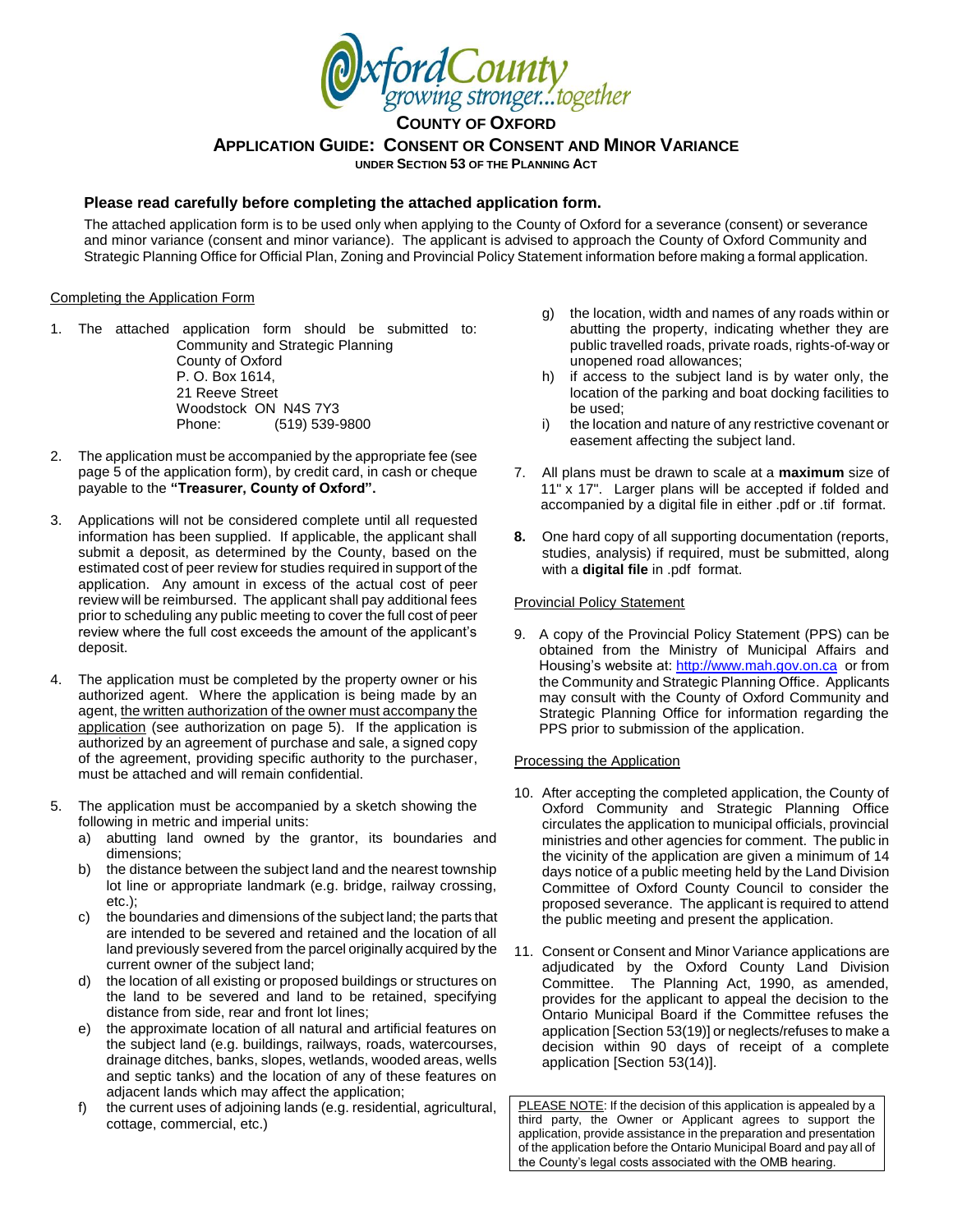

**APPLICATION GUIDE: CONSENT OR CONSENT AND MINOR VARIANCE UNDER SECTION 53 OF THE PLANNING ACT**

#### **Please read carefully before completing the attached application form.**

The attached application form is to be used only when applying to the County of Oxford for a severance (consent) or severance and minor variance (consent and minor variance). The applicant is advised to approach the County of Oxford Community and Strategic Planning Office for Official Plan, Zoning and Provincial Policy Statement information before making a formal application.

#### Completing the Application Form

- 1. The attached application form should be submitted to: Community and Strategic Planning County of Oxford P. O. Box 1614, 21 Reeve Street Woodstock ON N4S 7Y3 Phone: (519) 539-9800
- 2. The application must be accompanied by the appropriate fee (see page 5 of the application form), by credit card, in cash or cheque payable to the **"Treasurer, County of Oxford".**
- 3. Applications will not be considered complete until all requested information has been supplied. If applicable, the applicant shall submit a deposit, as determined by the County, based on the estimated cost of peer review for studies required in support of the application. Any amount in excess of the actual cost of peer review will be reimbursed. The applicant shall pay additional fees prior to scheduling any public meeting to cover the full cost of peer review where the full cost exceeds the amount of the applicant's deposit.
- 4. The application must be completed by the property owner or his authorized agent. Where the application is being made by an agent, the written authorization of the owner must accompany the application (see authorization on page 5). If the application is authorized by an agreement of purchase and sale, a signed copy of the agreement, providing specific authority to the purchaser, must be attached and will remain confidential.
- 5. The application must be accompanied by a sketch showing the following in metric and imperial units:
	- a) abutting land owned by the grantor, its boundaries and dimensions;
	- b) the distance between the subject land and the nearest township lot line or appropriate landmark (e.g. bridge, railway crossing, etc.);
	- c) the boundaries and dimensions of the subject land; the parts that are intended to be severed and retained and the location of all land previously severed from the parcel originally acquired by the current owner of the subject land;
	- d) the location of all existing or proposed buildings or structures on the land to be severed and land to be retained, specifying distance from side, rear and front lot lines;
	- e) the approximate location of all natural and artificial features on the subject land (e.g. buildings, railways, roads, watercourses, drainage ditches, banks, slopes, wetlands, wooded areas, wells and septic tanks) and the location of any of these features on adjacent lands which may affect the application;
	- f) the current uses of adjoining lands (e.g. residential, agricultural, cottage, commercial, etc.)
- g) the location, width and names of any roads within or abutting the property, indicating whether they are public travelled roads, private roads, rights-of-way or unopened road allowances;
- h) if access to the subject land is by water only, the location of the parking and boat docking facilities to be used;
- i) the location and nature of any restrictive covenant or easement affecting the subject land.
- 7. All plans must be drawn to scale at a **maximum** size of 11" x 17". Larger plans will be accepted if folded and accompanied by a digital file in either .pdf or .tif format.
- **8.** One hard copy of all supporting documentation (reports, studies, analysis) if required, must be submitted, along with a **digital file** in .pdf format.

#### Provincial Policy Statement

9. A copy of the Provincial Policy Statement (PPS) can be obtained from the Ministry of Municipal Affairs and Housing's website at[: http://www.mah.gov.on.ca](http://www.mah.gov.on.ca/) or from the Community and Strategic Planning Office. Applicants may consult with the County of Oxford Community and Strategic Planning Office for information regarding the PPS prior to submission of the application.

#### Processing the Application

- 10. After accepting the completed application, the County of Oxford Community and Strategic Planning Office circulates the application to municipal officials, provincial ministries and other agencies for comment. The public in the vicinity of the application are given a minimum of 14 days notice of a public meeting held by the Land Division Committee of Oxford County Council to consider the proposed severance. The applicant is required to attend the public meeting and present the application.
- 11. Consent or Consent and Minor Variance applications are adjudicated by the Oxford County Land Division Committee. The Planning Act, 1990, as amended, provides for the applicant to appeal the decision to the Ontario Municipal Board if the Committee refuses the application [Section 53(19)] or neglects/refuses to make a decision within 90 days of receipt of a complete application [Section 53(14)].

PLEASE NOTE: If the decision of this application is appealed by a third party, the Owner or Applicant agrees to support the application, provide assistance in the preparation and presentation of the application before the Ontario Municipal Board and pay all of the County's legal costs associated with the OMB hearing.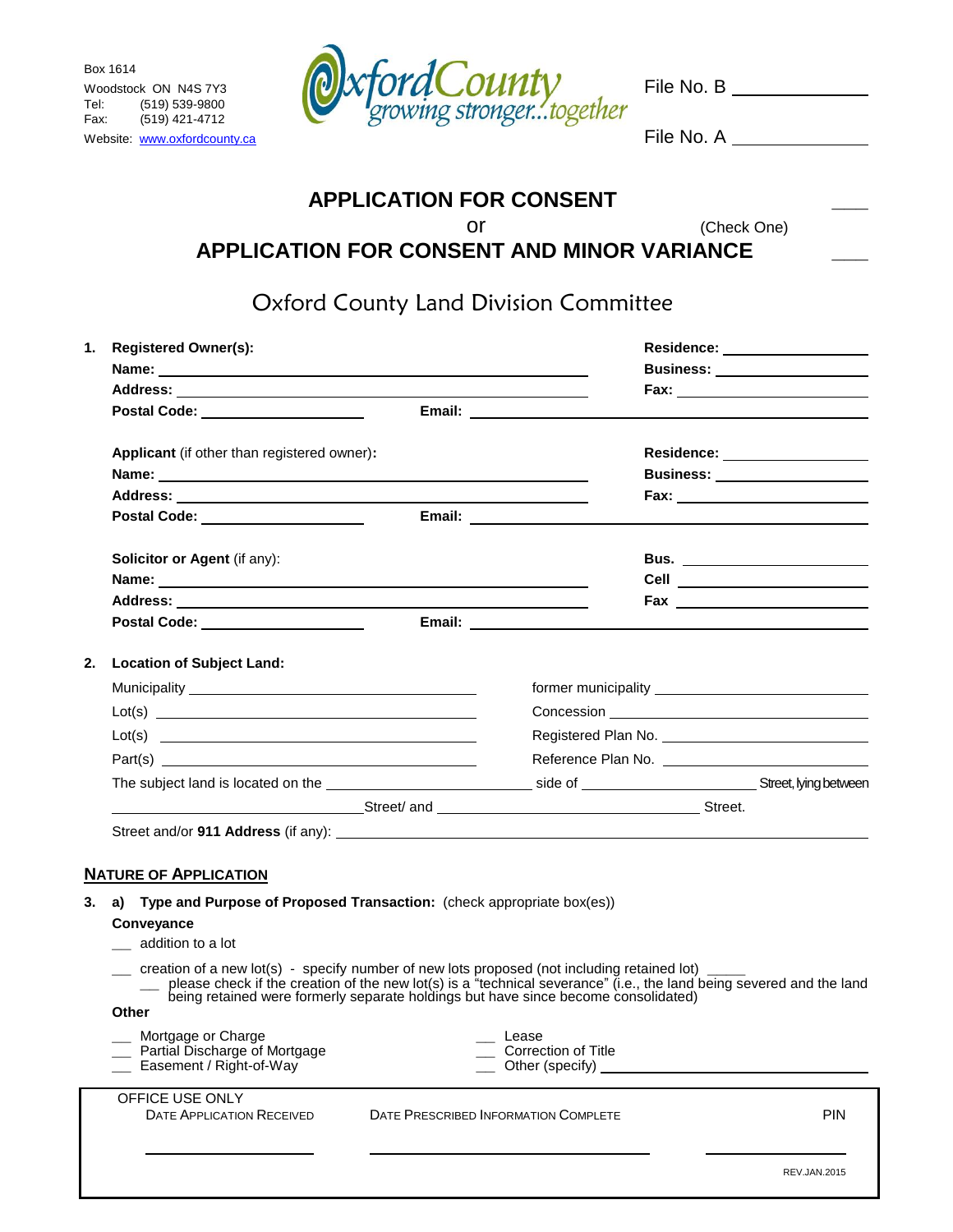Box 1614 Tel: (519) 539-9800<br>Fax: (519) 421-4712  $(519)$  421-4712



Website: [www.oxfordcounty.ca](http://www.oxfordcounty.ca/) **File No. A** 

## **APPLICATION FOR CONSENT \_\_\_** or (Check One) **APPLICATION FOR CONSENT AND MINOR VARIANCE \_\_\_**

Oxford County Land Division Committee

| 1. | <b>Registered Owner(s):</b>                                                                                                                                                                                                         |                                      |                                                 | Residence: __________________                                                                                                                                                                              |  |
|----|-------------------------------------------------------------------------------------------------------------------------------------------------------------------------------------------------------------------------------------|--------------------------------------|-------------------------------------------------|------------------------------------------------------------------------------------------------------------------------------------------------------------------------------------------------------------|--|
|    |                                                                                                                                                                                                                                     |                                      |                                                 |                                                                                                                                                                                                            |  |
|    |                                                                                                                                                                                                                                     |                                      |                                                 |                                                                                                                                                                                                            |  |
|    | Postal Code: _____________________                                                                                                                                                                                                  |                                      | Email: <u>___________________</u>               |                                                                                                                                                                                                            |  |
|    | Applicant (if other than registered owner):                                                                                                                                                                                         |                                      |                                                 | Residence: ___________________                                                                                                                                                                             |  |
|    | Name: Name and the second contract of the second contract of the second contract of the second contract of the                                                                                                                      |                                      |                                                 | <b>Business: Example 19</b>                                                                                                                                                                                |  |
|    |                                                                                                                                                                                                                                     |                                      |                                                 |                                                                                                                                                                                                            |  |
|    | Postal Code: _____________________                                                                                                                                                                                                  |                                      |                                                 |                                                                                                                                                                                                            |  |
|    | Solicitor or Agent (if any):                                                                                                                                                                                                        |                                      |                                                 | Bus. _________________________                                                                                                                                                                             |  |
|    |                                                                                                                                                                                                                                     |                                      |                                                 | Cell __________________________                                                                                                                                                                            |  |
|    |                                                                                                                                                                                                                                     |                                      |                                                 |                                                                                                                                                                                                            |  |
|    | Postal Code: _____________________                                                                                                                                                                                                  |                                      |                                                 |                                                                                                                                                                                                            |  |
| 2. | <b>Location of Subject Land:</b>                                                                                                                                                                                                    |                                      |                                                 |                                                                                                                                                                                                            |  |
|    |                                                                                                                                                                                                                                     |                                      |                                                 |                                                                                                                                                                                                            |  |
|    | Lot(s)                                                                                                                                                                                                                              |                                      |                                                 |                                                                                                                                                                                                            |  |
|    | Lot(s)                                                                                                                                                                                                                              |                                      |                                                 |                                                                                                                                                                                                            |  |
|    | Part(s)                                                                                                                                                                                                                             |                                      |                                                 |                                                                                                                                                                                                            |  |
|    |                                                                                                                                                                                                                                     |                                      |                                                 |                                                                                                                                                                                                            |  |
|    | Street/ and <b>Street/ and Street and Street.</b> Street and Street and Street and Street and Street and Street and Street and Street and Street and Street and Street and Street and Street and Street and Street and Street and S |                                      |                                                 |                                                                                                                                                                                                            |  |
|    |                                                                                                                                                                                                                                     |                                      |                                                 |                                                                                                                                                                                                            |  |
| 3. | <b>NATURE OF APPLICATION</b><br>a) Type and Purpose of Proposed Transaction: (check appropriate box(es))<br>Conveyance<br>__ addition to a lot                                                                                      |                                      |                                                 |                                                                                                                                                                                                            |  |
|    | __ creation of a new lot(s) - specify number of new lots proposed (not including retained lot) ____<br><b>Other</b>                                                                                                                 |                                      |                                                 | please check if the creation of the new lot(s) is a "technical severance" (i.e., the land being severed and the land<br>being retained were formerly separate holdings but have since become consolidated) |  |
|    | Mortgage or Charge<br>Partial Discharge of Mortgage<br>Easement / Right-of-Way                                                                                                                                                      |                                      | Lease<br>Correction of Title<br>Other (specify) |                                                                                                                                                                                                            |  |
|    | OFFICE USE ONLY<br><b>DATE APPLICATION RECEIVED</b>                                                                                                                                                                                 | DATE PRESCRIBED INFORMATION COMPLETE |                                                 | <b>PIN</b>                                                                                                                                                                                                 |  |
|    |                                                                                                                                                                                                                                     |                                      |                                                 | <b>REV.JAN.2015</b>                                                                                                                                                                                        |  |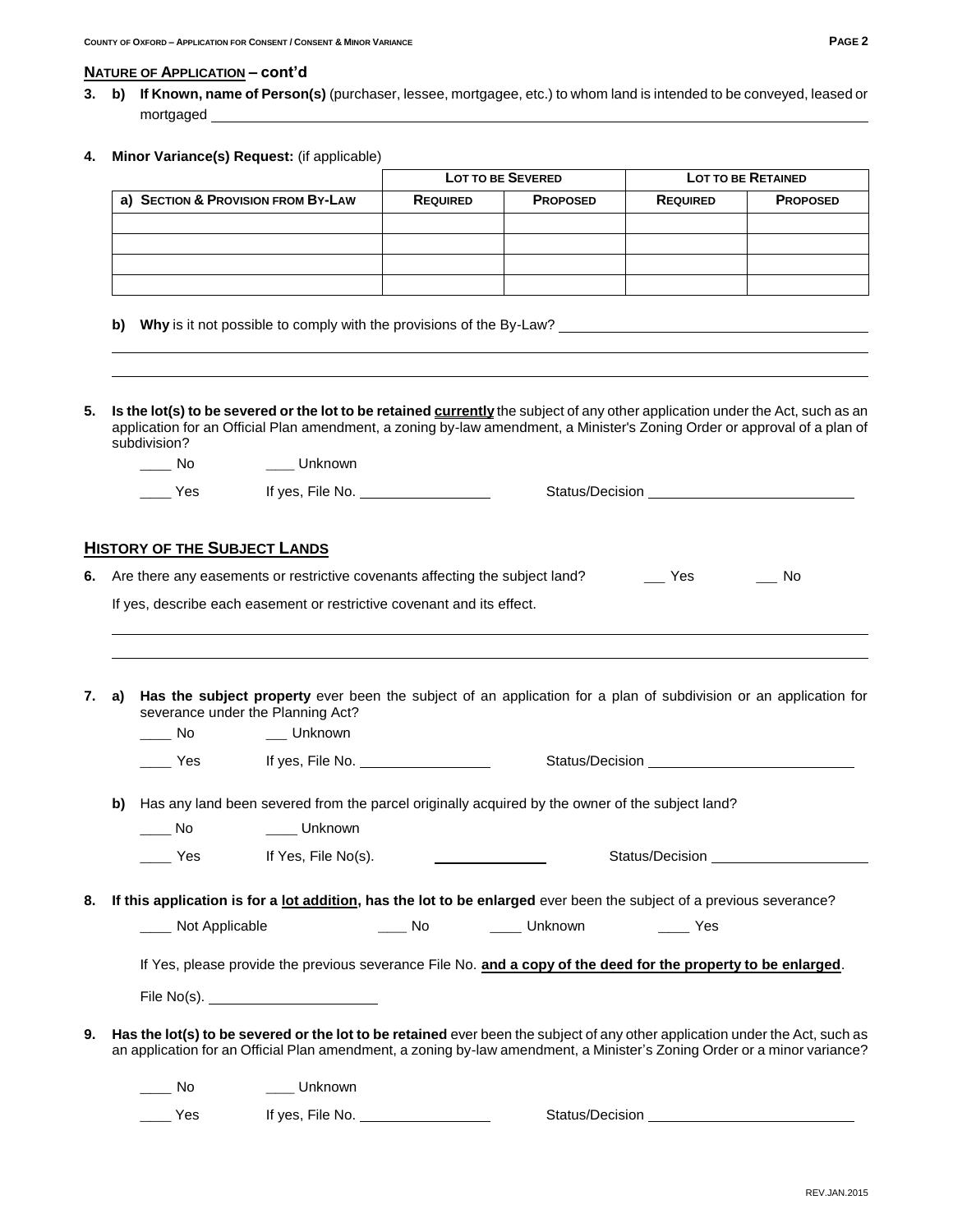#### **NATURE OF APPLICATION – cont'd**

- **3. b) If Known, name of Person(s)** (purchaser, lessee, mortgagee, etc.) to whom land is intended to be conveyed, leased or mortgaged
- **4. Minor Variance(s) Request:** (if applicable)

|                                    | <b>LOT TO BE SEVERED</b>           |  | <b>LOT TO BE RETAINED</b> |                 |
|------------------------------------|------------------------------------|--|---------------------------|-----------------|
| a) SECTION & PROVISION FROM BY-LAW | <b>PROPOSED</b><br><b>REQUIRED</b> |  | <b>REQUIRED</b>           | <b>PROPOSED</b> |
|                                    |                                    |  |                           |                 |
|                                    |                                    |  |                           |                 |
|                                    |                                    |  |                           |                 |
|                                    |                                    |  |                           |                 |

- **b) Why** is it not possible to comply with the provisions of the By-Law?
- **5. Is the lot(s) to be severed or the lot to be retained currently** the subject of any other application under the Act, such as an application for an Official Plan amendment, a zoning by-law amendment, a Minister's Zoning Order or approval of a plan of subdivision?

| Nc  | Unknown          |                 |
|-----|------------------|-----------------|
| Yes | If yes, File No. | Status/Decision |

#### **HISTORY OF THE SUBJECT LANDS**

| 6. Are there any easements or restrictive covenants affecting the subject land? |  | Yes | No |
|---------------------------------------------------------------------------------|--|-----|----|
|                                                                                 |  |     |    |

If yes, describe each easement or restrictive covenant and its effect.

**\_\_\_** No **\_\_** Unknown

|  | 7. a) Has the subject property ever been the subject of an application for a plan of subdivision or an application for |
|--|------------------------------------------------------------------------------------------------------------------------|
|  | severance under the Planning Act?                                                                                      |

|    |    | Yes            | If yes, File No. $\_\_\_\_\_\_\_\_\_\_\_\_\_\_\_\_\_\_\_\_\_\_\_\_\_\_\_\_$                     |                 |                                                                                                                                                                                                                                                          |  |
|----|----|----------------|-------------------------------------------------------------------------------------------------|-----------------|----------------------------------------------------------------------------------------------------------------------------------------------------------------------------------------------------------------------------------------------------------|--|
|    | b) |                | Has any land been severed from the parcel originally acquired by the owner of the subject land? |                 |                                                                                                                                                                                                                                                          |  |
|    |    | No             | Unknown                                                                                         |                 |                                                                                                                                                                                                                                                          |  |
|    |    | Yes            | If Yes, File No(s).                                                                             |                 |                                                                                                                                                                                                                                                          |  |
| 8. |    |                |                                                                                                 |                 | If this application is for a lot addition, has the lot to be enlarged ever been the subject of a previous severance?                                                                                                                                     |  |
|    |    | Not Applicable |                                                                                                 |                 |                                                                                                                                                                                                                                                          |  |
|    |    |                |                                                                                                 |                 | If Yes, please provide the previous severance File No. and a copy of the deed for the property to be enlarged.                                                                                                                                           |  |
|    |    |                | File No(s).                                                                                     |                 |                                                                                                                                                                                                                                                          |  |
| 9. |    |                |                                                                                                 |                 | Has the lot(s) to be severed or the lot to be retained ever been the subject of any other application under the Act, such as<br>an application for an Official Plan amendment, a zoning by-law amendment, a Minister's Zoning Order or a minor variance? |  |
|    |    | No.            | Unknown                                                                                         |                 |                                                                                                                                                                                                                                                          |  |
|    |    | Yes            | If yes, File No.                                                                                | Status/Decision |                                                                                                                                                                                                                                                          |  |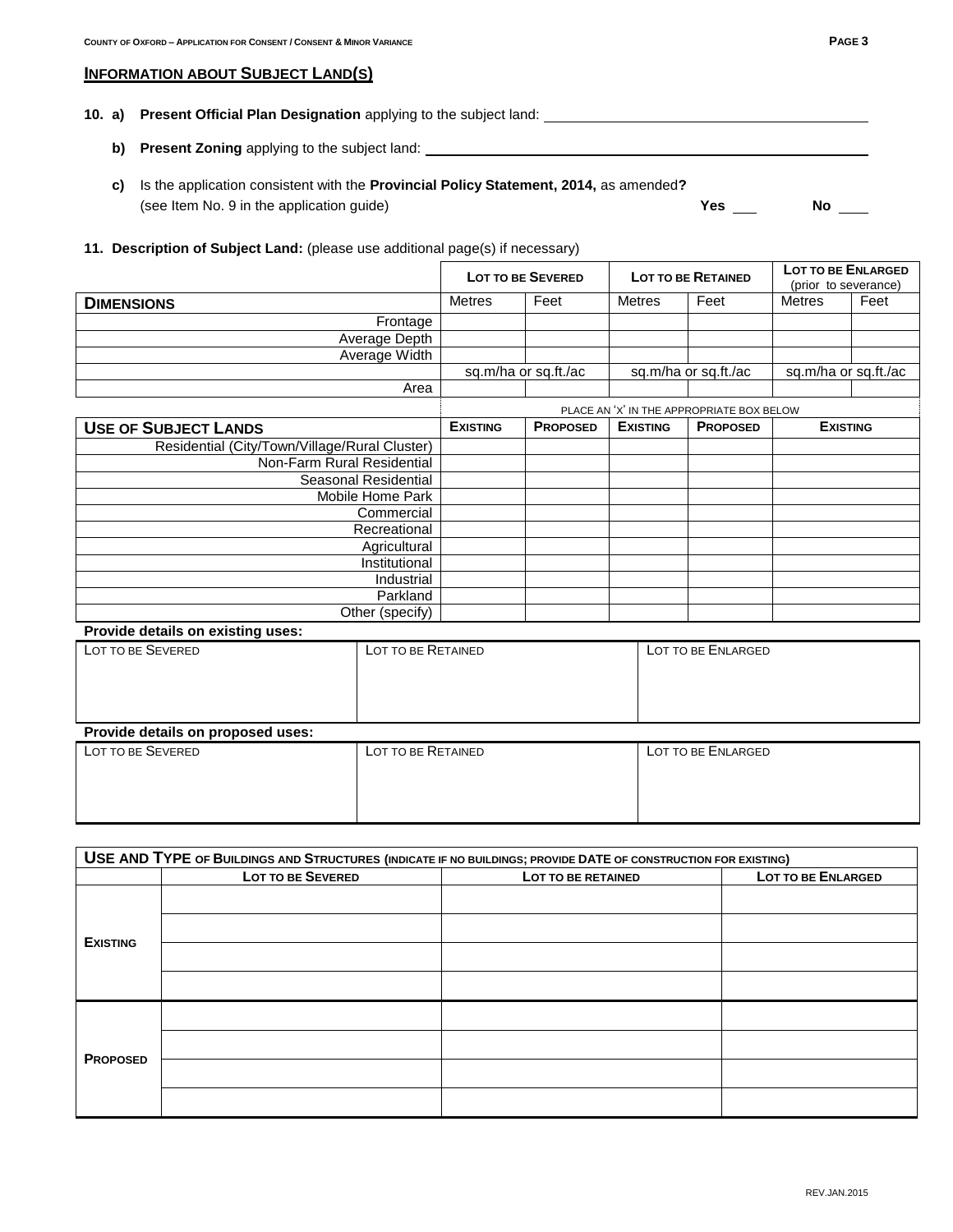#### **INFORMATION ABOUT SUBJECT LAND(S)**

#### **10. a) Present Official Plan Designation** applying to the subject land:

- **b)** Present Zoning applying to the subject land: \_\_\_\_
- **c)** Is the application consistent with the **Provincial Policy Statement, 2014,** as amended**?** (see Item No. 9 in the application guide) **Yes** No **No**

### **11. Description of Subject Land:** (please use additional page(s) if necessary)

|                                               |                                           | <b>LOT TO BE SEVERED</b> | <b>LOT TO BE RETAINED</b> |                      | LOT TO BE ENLARGED<br>(prior to severance) |      |
|-----------------------------------------------|-------------------------------------------|--------------------------|---------------------------|----------------------|--------------------------------------------|------|
| <b>DIMENSIONS</b>                             | <b>Metres</b>                             | Feet                     | <b>Metres</b>             | Feet                 | <b>Metres</b>                              | Feet |
| Frontage                                      |                                           |                          |                           |                      |                                            |      |
| Average Depth                                 |                                           |                          |                           |                      |                                            |      |
| Average Width                                 |                                           |                          |                           |                      |                                            |      |
|                                               |                                           | sq.m/ha or sq.ft./ac     |                           | sq.m/ha or sq.ft./ac | sq.m/ha or sq.ft./ac                       |      |
| Area                                          |                                           |                          |                           |                      |                                            |      |
|                                               | PLACE AN 'X' IN THE APPROPRIATE BOX BELOW |                          |                           |                      |                                            |      |
| <b>USE OF SUBJECT LANDS</b>                   | <b>EXISTING</b>                           | <b>PROPOSED</b>          | <b>EXISTING</b>           | <b>PROPOSED</b>      | <b>EXISTING</b>                            |      |
| Residential (City/Town/Village/Rural Cluster) |                                           |                          |                           |                      |                                            |      |
| Non-Farm Rural Residential                    |                                           |                          |                           |                      |                                            |      |
| Seasonal Residential                          |                                           |                          |                           |                      |                                            |      |
| Mobile Home Park                              |                                           |                          |                           |                      |                                            |      |
| Commercial                                    |                                           |                          |                           |                      |                                            |      |
| Recreational                                  |                                           |                          |                           |                      |                                            |      |
| Agricultural                                  |                                           |                          |                           |                      |                                            |      |
| Institutional                                 |                                           |                          |                           |                      |                                            |      |
| Industrial                                    |                                           |                          |                           |                      |                                            |      |
| Parkland                                      |                                           |                          |                           |                      |                                            |      |
| Other (specify)                               |                                           |                          |                           |                      |                                            |      |

# **Provide details on existing uses:** LOT TO BE SEVERED LOT TO BE RETAINED LOT TO BE ENLARGED **Provide details on proposed uses:**

| LOT TO BE SEVERED | LOT TO BE RETAINED | LOT TO BE ENLARGED |  |  |
|-------------------|--------------------|--------------------|--|--|
|                   |                    |                    |  |  |
|                   |                    |                    |  |  |
|                   |                    |                    |  |  |

| USE AND TYPE OF BUILDINGS AND STRUCTURES (INDICATE IF NO BUILDINGS; PROVIDE DATE OF CONSTRUCTION FOR EXISTING) |                          |                    |                    |  |  |  |  |
|----------------------------------------------------------------------------------------------------------------|--------------------------|--------------------|--------------------|--|--|--|--|
|                                                                                                                | <b>LOT TO BE SEVERED</b> | LOT TO BE RETAINED | LOT TO BE ENLARGED |  |  |  |  |
|                                                                                                                |                          |                    |                    |  |  |  |  |
| <b>EXISTING</b>                                                                                                |                          |                    |                    |  |  |  |  |
|                                                                                                                |                          |                    |                    |  |  |  |  |
|                                                                                                                |                          |                    |                    |  |  |  |  |
|                                                                                                                |                          |                    |                    |  |  |  |  |
| <b>PROPOSED</b>                                                                                                |                          |                    |                    |  |  |  |  |
|                                                                                                                |                          |                    |                    |  |  |  |  |
|                                                                                                                |                          |                    |                    |  |  |  |  |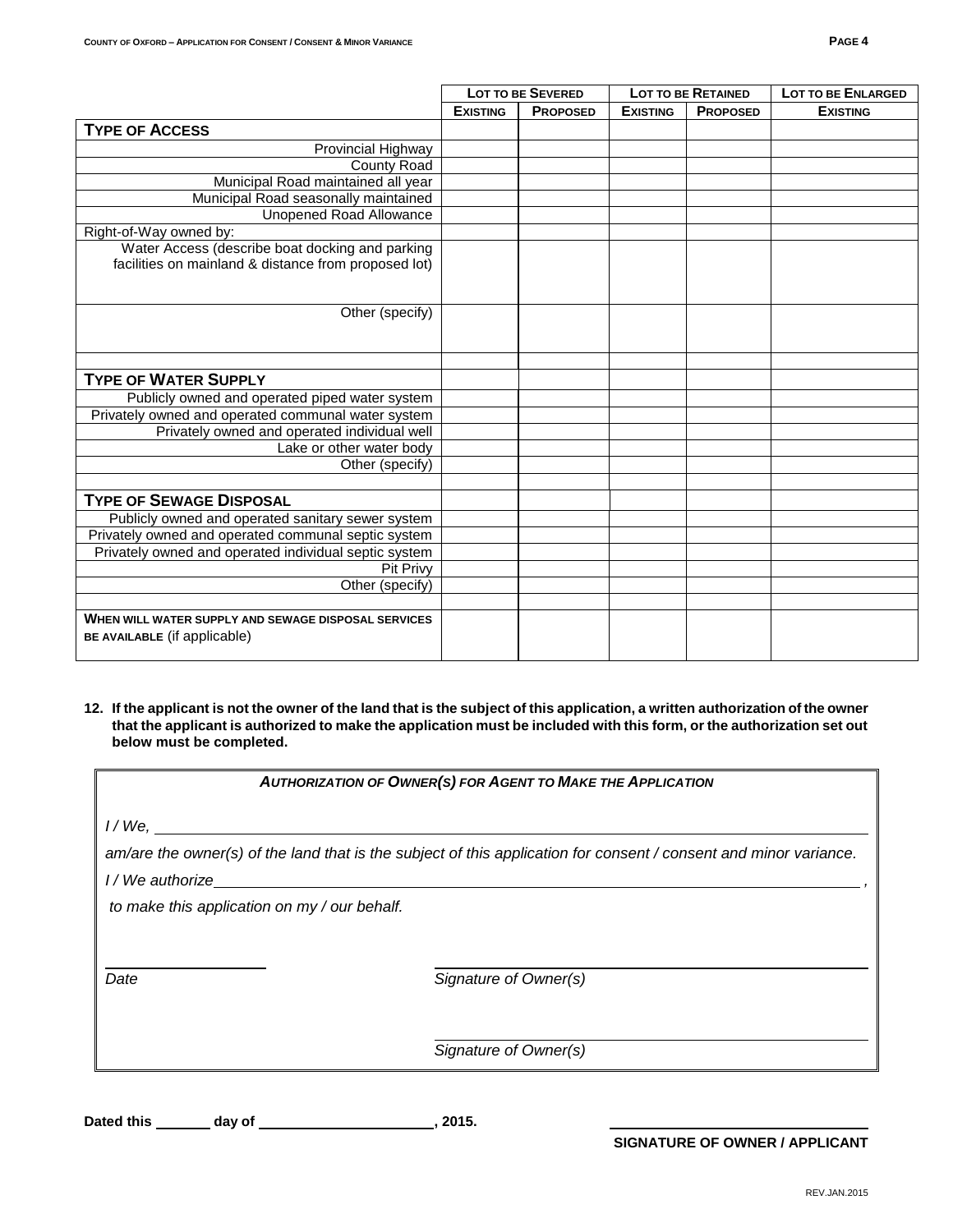|                                                                                                         |                 | <b>LOT TO BE SEVERED</b> | <b>LOT TO BE RETAINED</b> |                 | <b>LOT TO BE ENLARGED</b> |
|---------------------------------------------------------------------------------------------------------|-----------------|--------------------------|---------------------------|-----------------|---------------------------|
|                                                                                                         | <b>EXISTING</b> | <b>PROPOSED</b>          | <b>EXISTING</b>           | <b>PROPOSED</b> | <b>EXISTING</b>           |
| <b>TYPE OF ACCESS</b>                                                                                   |                 |                          |                           |                 |                           |
| Provincial Highway                                                                                      |                 |                          |                           |                 |                           |
| County Road                                                                                             |                 |                          |                           |                 |                           |
| Municipal Road maintained all year                                                                      |                 |                          |                           |                 |                           |
| Municipal Road seasonally maintained                                                                    |                 |                          |                           |                 |                           |
| <b>Unopened Road Allowance</b>                                                                          |                 |                          |                           |                 |                           |
| Right-of-Way owned by:                                                                                  |                 |                          |                           |                 |                           |
| Water Access (describe boat docking and parking<br>facilities on mainland & distance from proposed lot) |                 |                          |                           |                 |                           |
| Other (specify)                                                                                         |                 |                          |                           |                 |                           |
|                                                                                                         |                 |                          |                           |                 |                           |
| <b>TYPE OF WATER SUPPLY</b>                                                                             |                 |                          |                           |                 |                           |
| Publicly owned and operated piped water system                                                          |                 |                          |                           |                 |                           |
| Privately owned and operated communal water system                                                      |                 |                          |                           |                 |                           |
| Privately owned and operated individual well                                                            |                 |                          |                           |                 |                           |
| Lake or other water body                                                                                |                 |                          |                           |                 |                           |
| Other (specify)                                                                                         |                 |                          |                           |                 |                           |
|                                                                                                         |                 |                          |                           |                 |                           |
| <b>TYPE OF SEWAGE DISPOSAL</b>                                                                          |                 |                          |                           |                 |                           |
| Publicly owned and operated sanitary sewer system                                                       |                 |                          |                           |                 |                           |
| Privately owned and operated communal septic system                                                     |                 |                          |                           |                 |                           |
| Privately owned and operated individual septic system                                                   |                 |                          |                           |                 |                           |
| Pit Privy                                                                                               |                 |                          |                           |                 |                           |
| Other (specify)                                                                                         |                 |                          |                           |                 |                           |
|                                                                                                         |                 |                          |                           |                 |                           |
| WHEN WILL WATER SUPPLY AND SEWAGE DISPOSAL SERVICES<br>BE AVAILABLE (if applicable)                     |                 |                          |                           |                 |                           |

**12. If the applicant is not the owner of the land that is the subject of this application, a written authorization of the owner that the applicant is authorized to make the application must be included with this form, or the authorization set out below must be completed.**

| <b>AUTHORIZATION OF OWNER(S) FOR AGENT TO MAKE THE APPLICATION</b> |                                                                                                                   |  |  |  |
|--------------------------------------------------------------------|-------------------------------------------------------------------------------------------------------------------|--|--|--|
| <i>I / We,</i>                                                     |                                                                                                                   |  |  |  |
|                                                                    | am/are the owner(s) of the land that is the subject of this application for consent / consent and minor variance. |  |  |  |
| I/We authorize                                                     |                                                                                                                   |  |  |  |
| to make this application on my / our behalf.                       |                                                                                                                   |  |  |  |
|                                                                    |                                                                                                                   |  |  |  |
| Date                                                               | Signature of Owner(s)                                                                                             |  |  |  |
|                                                                    |                                                                                                                   |  |  |  |
|                                                                    | Signature of Owner(s)                                                                                             |  |  |  |

Dated this \_\_\_\_\_\_\_ day of \_\_\_\_\_\_\_\_\_\_\_\_\_\_\_\_\_\_\_\_\_\_\_\_\_\_\_, 2015.